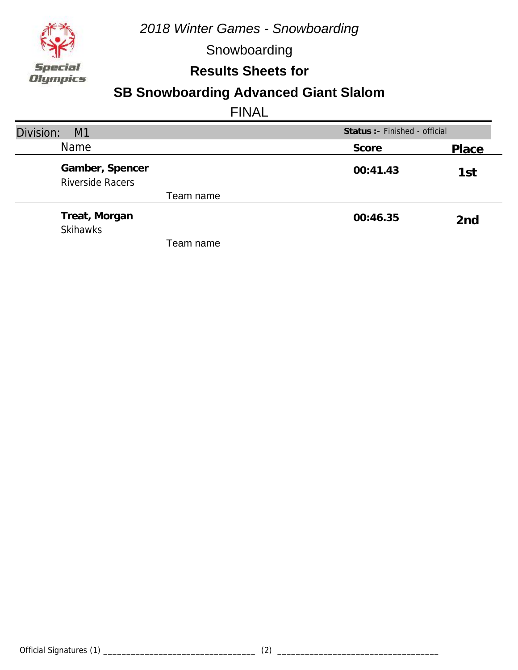

Snowboarding

**Results Sheets for**

## **SB Snowboarding Advanced Giant Slalom**

| Division:<br>M1                            | Status :- Finished - official |                 |
|--------------------------------------------|-------------------------------|-----------------|
| <b>Name</b>                                | Score                         | Place           |
| Gamber, Spencer<br><b>Riverside Racers</b> | 00:41.43                      | 1st             |
| Team name                                  |                               |                 |
| Treat, Morgan<br><b>Skihawks</b>           | 00:46.35                      | 2 <sub>nd</sub> |
| Team name                                  |                               |                 |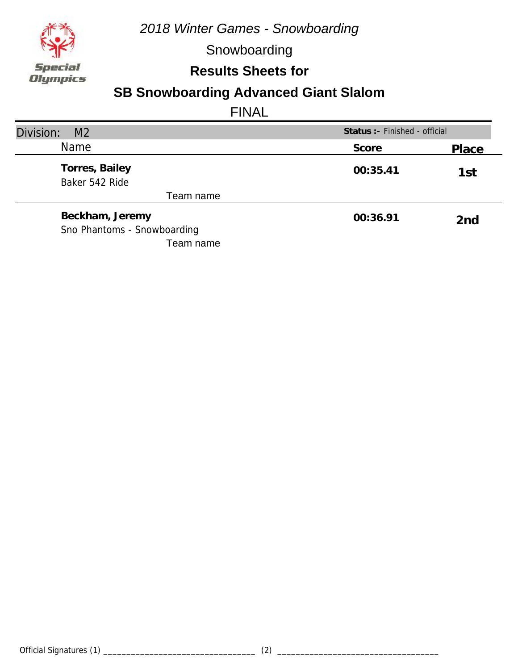

Snowboarding

### **Results Sheets for**

## **SB Snowboarding Advanced Giant Slalom**

| Division:<br>M <sub>2</sub>      | Status : - Finished - official |       |
|----------------------------------|--------------------------------|-------|
| <b>Name</b>                      | Score                          | Place |
| Torres, Bailey<br>Baker 542 Ride | 00:35.41                       | 1st   |
| Team name                        |                                |       |
| Beckham, Jeremy                  | 00:36.91                       | 2nd   |
| Sno Phantoms - Snowboarding      |                                |       |
| Team name                        |                                |       |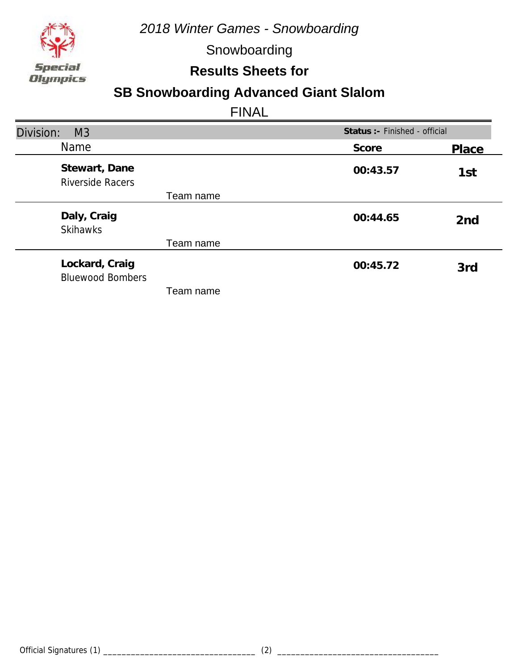

Snowboarding

**Results Sheets for**

## **SB Snowboarding Advanced Giant Slalom**

| Division:<br>M <sub>3</sub>               |          | Status : - Finished - official |  |
|-------------------------------------------|----------|--------------------------------|--|
| Name                                      | Score    | <b>Place</b>                   |  |
| Stewart, Dane<br><b>Riverside Racers</b>  | 00:43.57 | 1st                            |  |
| Team name                                 |          |                                |  |
| Daly, Craig<br><b>Skihawks</b>            | 00:44.65 | 2 <sub>nd</sub>                |  |
| Team name                                 |          |                                |  |
| Lockard, Craig<br><b>Bluewood Bombers</b> | 00:45.72 | 3rd                            |  |
| Team name                                 |          |                                |  |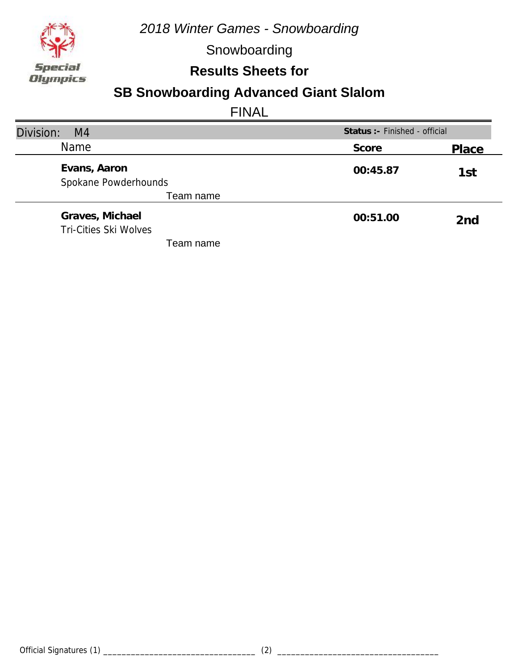

Snowboarding

### **Results Sheets for**

## **SB Snowboarding Advanced Giant Slalom**

| Division:<br>M <sub>4</sub>  | Status :- Finished - official |       |
|------------------------------|-------------------------------|-------|
| <b>Name</b>                  | Score                         | Place |
| Evans, Aaron                 | 00:45.87                      | 1st   |
| Spokane Powderhounds         |                               |       |
| Team name                    |                               |       |
| Graves, Michael              | 00:51.00                      | 2nd   |
| <b>Tri-Cities Ski Wolves</b> |                               |       |
| Team name                    |                               |       |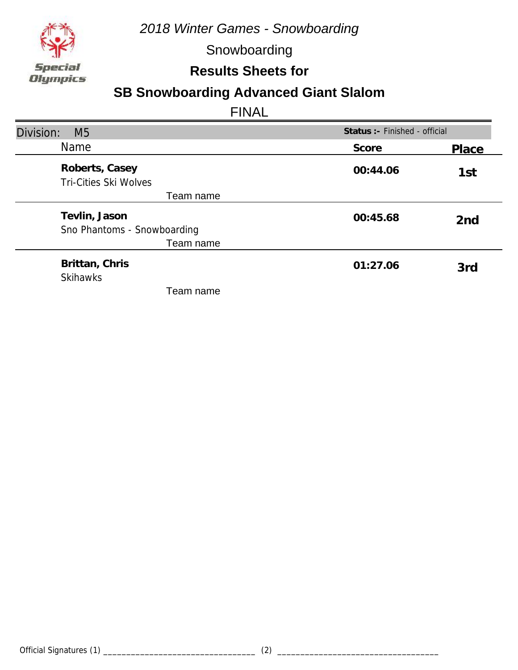

Snowboarding

**Results Sheets for**

## **SB Snowboarding Advanced Giant Slalom**

| Division:<br>M <sub>5</sub>                    | Status : - Finished - official |                 |
|------------------------------------------------|--------------------------------|-----------------|
| <b>Name</b>                                    | Score                          | Place           |
| Roberts, Casey<br><b>Tri-Cities Ski Wolves</b> | 00:44.06                       | 1st             |
| Team name                                      |                                |                 |
| Tevlin, Jason                                  | 00:45.68                       | 2 <sub>nd</sub> |
| Sno Phantoms - Snowboarding                    |                                |                 |
| Team name                                      |                                |                 |
| Brittan, Chris<br><b>Skihawks</b>              | 01:27.06                       | 3rd             |
| Team name                                      |                                |                 |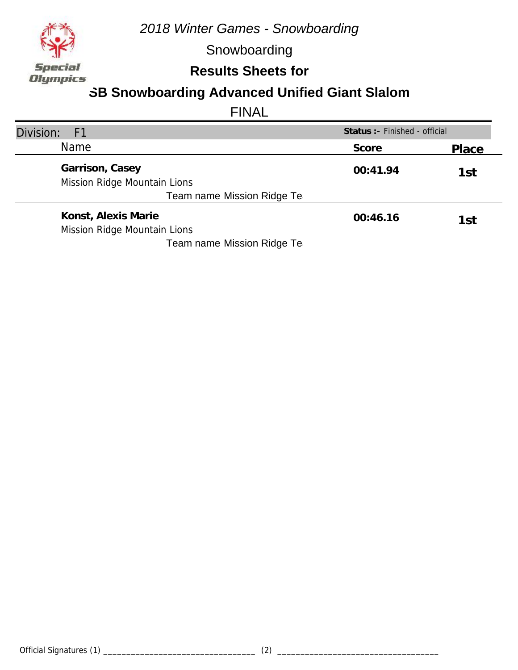

Snowboarding

## **Results Sheets for**

## **SB Snowboarding Advanced Unified Giant Slalom**

| Division:<br>- F1                                   | Status : - Finished - official |       |
|-----------------------------------------------------|--------------------------------|-------|
| <b>Name</b>                                         | Score                          | Place |
| Garrison, Casey<br>Mission Ridge Mountain Lions     | 00:41.94                       | 1st   |
| Team name Mission Ridge Te                          |                                |       |
| Konst, Alexis Marie<br>Mission Ridge Mountain Lions | 00:46.16                       | 1st   |
| Team name Mission Ridge Te                          |                                |       |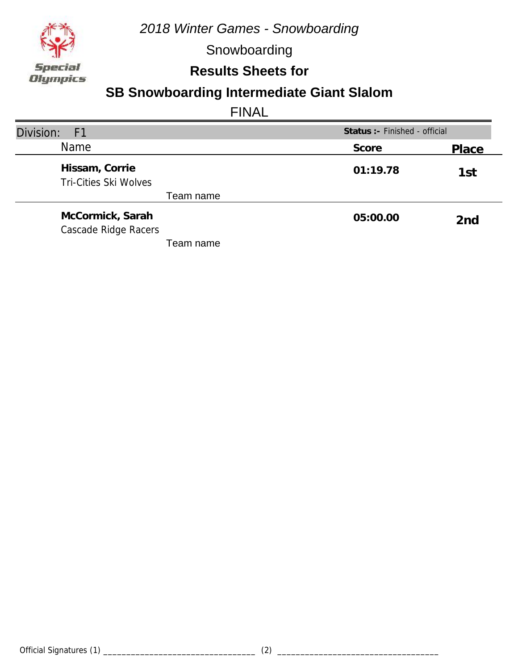

Snowboarding

**Results Sheets for**

## **SB Snowboarding Intermediate Giant Slalom**

| Division:<br>F <sub>1</sub>                    | Status : - Finished - official |                 |
|------------------------------------------------|--------------------------------|-----------------|
| <b>Name</b>                                    | Score                          | Place           |
| Hissam, Corrie<br><b>Tri-Cities Ski Wolves</b> | 01:19.78                       | 1st             |
| Team name                                      |                                |                 |
| McCormick, Sarah<br>Cascade Ridge Racers       | 05:00.00                       | 2 <sub>nd</sub> |
| Team name                                      |                                |                 |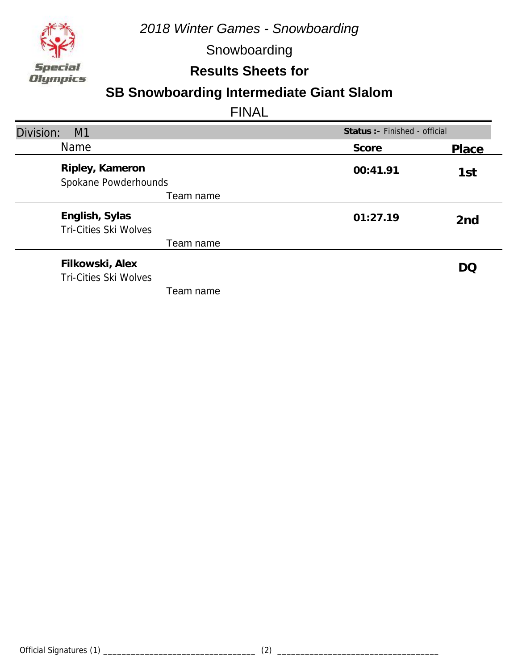

Snowboarding

**Results Sheets for**

## **SB Snowboarding Intermediate Giant Slalom**

| Division:<br>M1                                 | Status : - Finished - official |                 |
|-------------------------------------------------|--------------------------------|-----------------|
| <b>Name</b>                                     | Score                          | Place           |
| Ripley, Kameron<br>Spokane Powderhounds         | 00:41.91                       | 1st             |
| Team name                                       |                                |                 |
| English, Sylas<br><b>Tri-Cities Ski Wolves</b>  | 01:27.19                       | 2 <sub>nd</sub> |
| Team name                                       |                                |                 |
| Filkowski, Alex<br><b>Tri-Cities Ski Wolves</b> |                                | DO              |
| Team name                                       |                                |                 |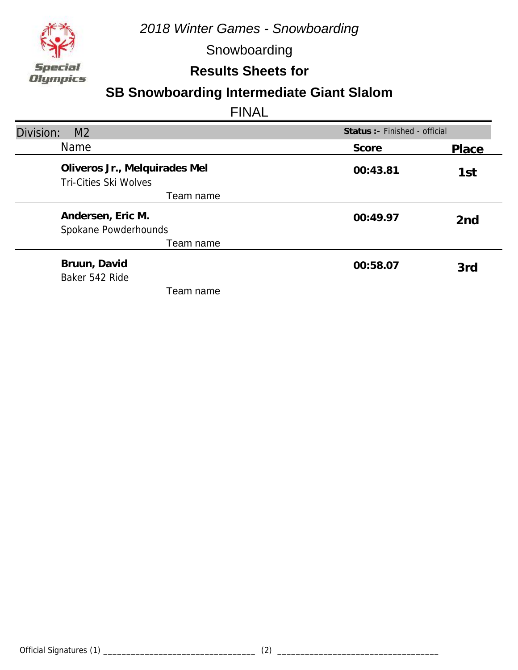

Snowboarding

## **Results Sheets for**

## **SB Snowboarding Intermediate Giant Slalom**

| Division:<br>M <sub>2</sub>                            | Status : - Finished - official |                 |
|--------------------------------------------------------|--------------------------------|-----------------|
| <b>Name</b>                                            | Score                          | Place           |
| Oliveros Jr., Melquirades Mel<br>Tri-Cities Ski Wolves | 00:43.81                       | 1st             |
| Team name                                              |                                |                 |
| Andersen, Eric M.                                      | 00:49.97                       | 2 <sub>nd</sub> |
| Spokane Powderhounds                                   |                                |                 |
| Team name                                              |                                |                 |
| Bruun, David<br>Baker 542 Ride                         | 00:58.07                       | 3rd             |
| Team name                                              |                                |                 |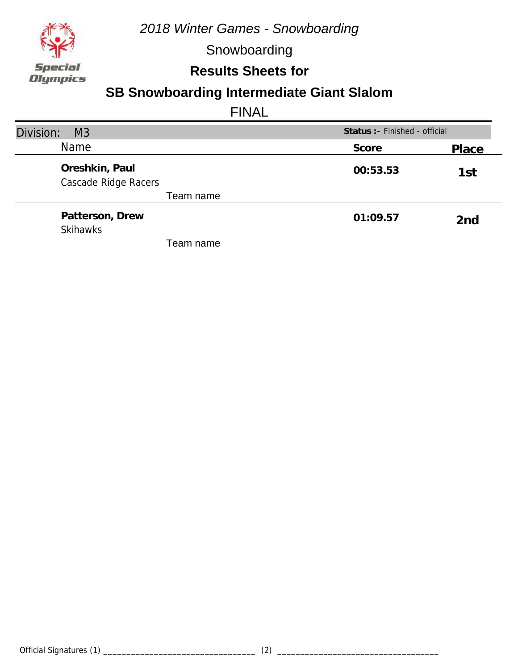

Snowboarding

## **Results Sheets for**

## **SB Snowboarding Intermediate Giant Slalom**

| Division:<br>M <sub>3</sub>            | Status: - Finished - official |                 |
|----------------------------------------|-------------------------------|-----------------|
| <b>Name</b>                            | Score                         | Place           |
| Oreshkin, Paul<br>Cascade Ridge Racers | 00:53.53                      | 1st             |
| Team name                              |                               |                 |
| Patterson, Drew<br><b>Skihawks</b>     | 01:09.57                      | 2 <sub>nd</sub> |
| Team name                              |                               |                 |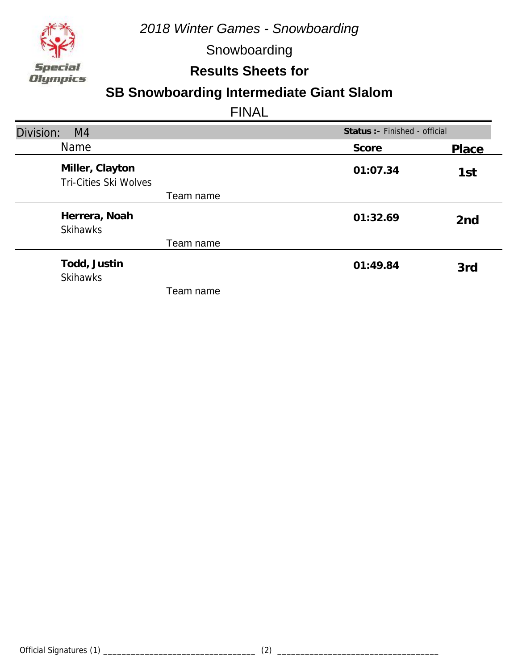

Snowboarding

### **Results Sheets for**

## **SB Snowboarding Intermediate Giant Slalom**

| Division:<br>M4                                 | Status :- Finished - official |                 |
|-------------------------------------------------|-------------------------------|-----------------|
| <b>Name</b>                                     | Score                         | Place           |
| Miller, Clayton<br><b>Tri-Cities Ski Wolves</b> | 01:07.34                      | 1st             |
| Team name                                       |                               |                 |
| Herrera, Noah<br><b>Skihawks</b>                | 01:32.69                      | 2 <sub>nd</sub> |
| Team name                                       |                               |                 |
| Todd, Justin<br><b>Skihawks</b>                 | 01:49.84                      | 3rd             |
| Team name                                       |                               |                 |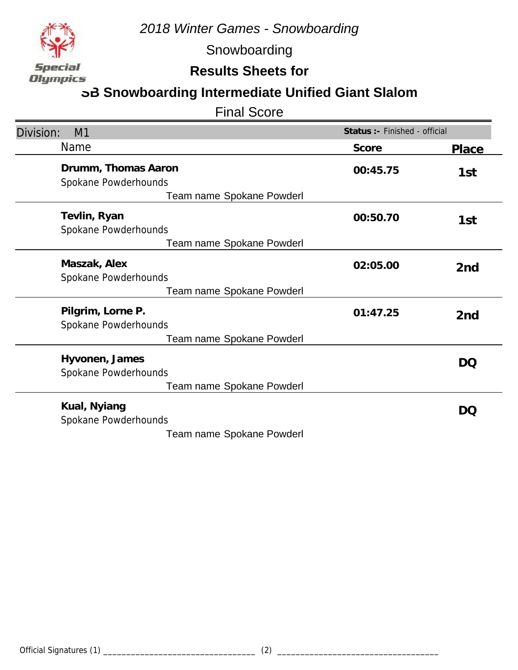

Snowboarding

### **Results Sheets for**

## **SB Snowboarding Intermediate Unified Giant Slalom**

Final Score

| Division:<br>M1                             | Status :- Finished - official |                 |
|---------------------------------------------|-------------------------------|-----------------|
| Name                                        | Score                         | <b>Place</b>    |
| Drumm, Thomas Aaron<br>Spokane Powderhounds | 00:45.75                      | 1st             |
| Team name Spokane Powderl                   |                               |                 |
| Tevlin, Ryan<br>Spokane Powderhounds        | 00:50.70                      | 1st             |
| Team name Spokane Powderl                   |                               |                 |
| Maszak, Alex<br>Spokane Powderhounds        | 02:05.00                      | 2 <sub>nd</sub> |
| Team name Spokane Powderl                   |                               |                 |
| Pilgrim, Lorne P.<br>Spokane Powderhounds   | 01:47.25                      | 2 <sub>nd</sub> |
| Team name Spokane Powderl                   |                               |                 |
| Hyvonen, James<br>Spokane Powderhounds      |                               | DQ              |
| Team name Spokane Powderl                   |                               |                 |
| Kual, Nyiang<br>Spokane Powderhounds        |                               | DQ              |
| Team name Spokane Powderl                   |                               |                 |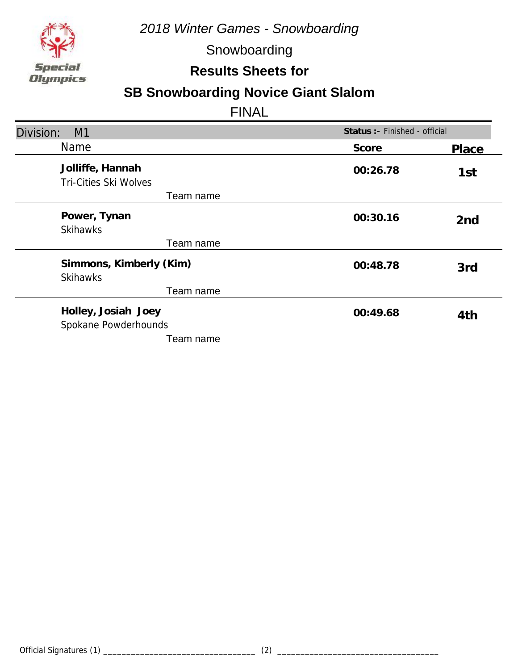

Snowboarding

**Results Sheets for**

# **SB Snowboarding Novice Giant Slalom**

| Division:<br>M1                                  | Status : - Finished - official |                 |
|--------------------------------------------------|--------------------------------|-----------------|
| Name                                             | Score                          | Place           |
| Jolliffe, Hannah<br><b>Tri-Cities Ski Wolves</b> | 00:26.78                       | 1st             |
| Team name                                        |                                |                 |
| Power, Tynan<br><b>Skihawks</b>                  | 00:30.16                       | 2 <sub>nd</sub> |
| Team name                                        |                                |                 |
| Simmons, Kimberly (Kim)<br><b>Skihawks</b>       | 00:48.78                       | 3rd             |
| Team name                                        |                                |                 |
| Holley, Josiah Joey<br>Spokane Powderhounds      | 00:49.68                       | 4th             |
| Team name                                        |                                |                 |